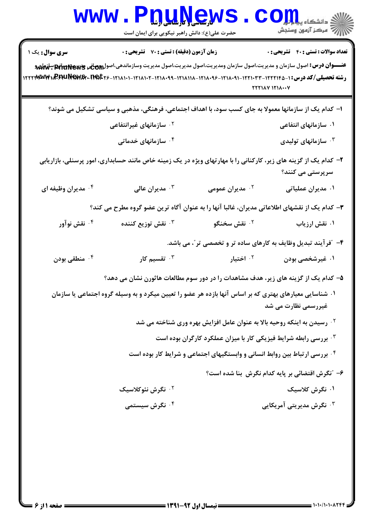| <b>WWW</b>                                                                                                                           | حضرت علی(ع): دانش راهبر نیکویی برای ایمان است                                                                                                 | <u>nunews</u>                                                                          | د دانشکاه پ <b>یا با بار</b><br>5<br>رآب آمرڪز آزمون وسنڊش |
|--------------------------------------------------------------------------------------------------------------------------------------|-----------------------------------------------------------------------------------------------------------------------------------------------|----------------------------------------------------------------------------------------|------------------------------------------------------------|
| سری سوال: یک ۱                                                                                                                       | زمان آزمون (دقیقه) : تستی : 70 قشریحی : 0                                                                                                     |                                                                                        | <b>تعداد سوالات : تستی : 40 قشریحی : 0</b>                 |
|                                                                                                                                      | عنـــوان درس: اصول سازمان و مدیریت،اصول سازمان ومدیریت،اصول مدیریت،اصول مدیریت وسازماندهی،اصول۱۹۵ <del>۸ قانا او است اسلام اسل</del> ان استان |                                                                                        |                                                            |
|                                                                                                                                      | رشته تحصیلی/کد درس: ۱-۲۲۲۱۴۵-۱۲۲۲۰۳۳-۱۲۱۸۰۹۱-۱۲۱۸۰۹۶-۱۲۱۸۱۱۸-۱۲۱۸۱۰۹۹-۱۲۲۲۸۱۸۰۷-۱۲۲۲۳۸۰۷۳۰۰۳۶۶۰۰۳۶۹۷                                          |                                                                                        | 222188 1218 · · · 7                                        |
|                                                                                                                                      | ا– کدام یک از سازمانها معمولا به جای کسب سود، با اهداف اجتماعی، فرهنگی، مذهبی و سیاسی تشکیل می شوند؟                                          |                                                                                        |                                                            |
|                                                                                                                                      | <sup>۲ .</sup> سازمانهای غیرانتفاعی                                                                                                           |                                                                                        | ۰۱ سازمانهای انتفاعی                                       |
|                                                                                                                                      | ۰۴ سازمانهای خدماتی                                                                                                                           |                                                                                        | ۰۳ سازمانهای تولیدی $\cdot$                                |
| ۲- کدام یک از گزینه های زیر، کارکنانی را با مهارتهای ویژه در یک زمینه خاص مانند حسابداری، امور پرسنلی، بازاریابی<br>سرپرستی می کنند؟ |                                                                                                                                               |                                                                                        |                                                            |
| ۰۴ مدیران وظیفه ای                                                                                                                   | مديران عالى $\cdot^{\mathsf{y}}$                                                                                                              | ۰ <sup>۲</sup> مدیران عمومی                                                            | ۰۱ مدیران عملیاتی                                          |
|                                                                                                                                      | ۳- کدام یک از نقشهای اطلاعاتی مدیران، غالبا آنها را به عنوان آگاه ترین عضو گروه مطرح می کند؟                                                  |                                                                                        |                                                            |
| ۰۴ نقش نوآور                                                                                                                         | ۰ <sup>۳</sup> نقش توزیع کننده                                                                                                                | ۰ <sup>۲</sup> نقش سخنگو                                                               | ۰۱ نقش ارزیاب                                              |
|                                                                                                                                      |                                                                                                                                               | ۴- ″فرآیند تبدیل وظایف به کارهای ساده تر و تخصصی تر″، می باشد.                         |                                                            |
| ۰۴ منطقی بودن                                                                                                                        | تقسیم کار $\cdot$                                                                                                                             | ۰ <sup>۲</sup> اختیار                                                                  | ۰۱ غیرشخصی بودن                                            |
|                                                                                                                                      | ۵– کدام یک از گزینه های زیر، هدف مشاهدات را در دور سوم مطالعات هاثورن نشان می دهد؟                                                            |                                                                                        |                                                            |
|                                                                                                                                      | ۰۱ شناسایی معیارهای بهتری که بر اساس آنها بازده هر عضو را تعیین میکرد و به وسیله گروه اجتماعی یا سازمان                                       |                                                                                        | غیررسمی نظارت می شد                                        |
|                                                                                                                                      |                                                                                                                                               | <sup>۲ .</sup> رسیدن به اینکه روحیه بالا به عنوان عامل افزایش بهره وری شناخته می شد    |                                                            |
|                                                                                                                                      |                                                                                                                                               | ۰ <sup>۳</sup> بررسی رابطه شرایط فیزیکی کار با میزان عملکرد کارگران بوده است           |                                                            |
|                                                                                                                                      |                                                                                                                                               | <sup>۴</sup> . بررسی ارتباط بین روابط انسانی و وابستگیهای اجتماعی و شرایط کار بوده است |                                                            |
|                                                                                                                                      |                                                                                                                                               |                                                                                        | ۶- "نگرش اقتضائی بر پایه کدام نگرش بنا شده است؟            |
|                                                                                                                                      | ۰ <sup>۲</sup> نگرش نئوکلاسیک                                                                                                                 |                                                                                        | ۰۱ نگرش کلاسیک                                             |
|                                                                                                                                      | ۰ <sup>۴</sup> نگرش سیستمی                                                                                                                    |                                                                                        | ۰ <sup>۳</sup> نگرش مدیریتی آمریکایی                       |
|                                                                                                                                      |                                                                                                                                               |                                                                                        |                                                            |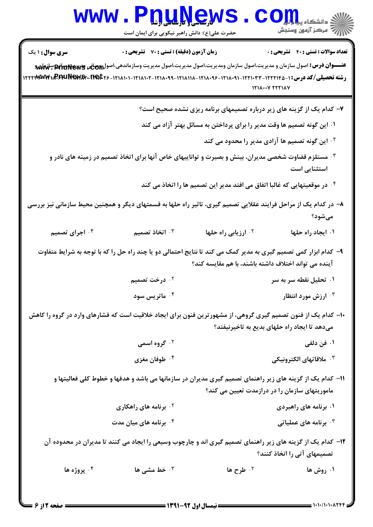| زمان آزمون (دقیقه) : تستی : 70 قشریحی : 0<br><b>سری سوال : ۱ یک</b><br><b>عنـــوان درس:</b> اصول سازمان و مديريت،اصول سازمان ومديريت،اصول مديريت،اصول مديريت وسازماندهي،اصول <sub>ال</sub> يهطفي pitu <del>Newy "بالماض</del> د<br>$171$ $\lambda$ $\cdots$ $\gamma$ $7771$ $\lambda$ $\gamma$<br>۷- کدام یک از گزینه های زیر درباره تصمیمهای برنامه ریزی نشده صحیح است؟<br>۰۱ این گونه تصمیم ها وقت مدیر را برای پرداختن به مسائل بهتر آزاد می کند<br>۰۲ این گونه تصمیم ها آزادی مدیر را محدود می کند<br>هستلزم قضاوت شخصی مدیران، بینش و بصیرت و تواناییهای خاص آنها برای اتخاذ تصمیم در زمینه های نادر و $\cdot$<br>استثنایی است<br>۰۴ در موقعیتهایی که غالبا اتفاق می افتد مدیر این تصمیم ها را اتخاذ می کند *<br>۸– در کدام یک از مراحل فرایند عقلایی تصمیم گیری، تاثیر راه حلها به قسمتهای دیگر و همچنین محیط سازمانی نیز بررسی<br>مىشود؟<br>۰۳ اتخاذ تصمیم<br><sup>۰۲</sup> ارزیابی راه حلها<br>۰۴ اجرای تصمیم<br>۰۱ ایجاد راه حلها<br>۹- کدام ابزار کمی تصمیم گیری به مدیر کمک می کند تا نتایج احتمالی دو یا چند راه حل را که با توجه به شرایط متفاوت<br>آینده می تواند اختلاف داشته باشند، با هم مقایسه کند؟<br>۰۲ درخت تصمیم<br>۰۱ تحلیل نقطه سر به سر<br>۰ <sup>۴</sup> ماتریس سود<br>ارزش مورد انتظار '<br>۱۰– کدام یک از فنون تصمیم گیری گروهی، از مشهورترین فنون برای ایجاد خلاقیت است که فشارهای وارد در گروه را کاهش<br>میدهد تا ایجاد راه حلهای بدیع به تاخیرنیفتد؟<br>۰ <sup>۲</sup> گروه اسمی<br>۰۱ فن دلفی<br>۰ <sup>۴</sup> طوفان مغزی<br><sup>٣</sup> ٠ ملاقاتهاي الكترونيكي<br>11– کدام یک از گزینه های زیر راهنمای تصمیم گیری مدیران در سازمانها می باشد و هدفها و خطوط کلی فعالیتها و<br>ماموریتهای سازمان را در درازمدت تعیین می کند؟<br><sup>۲</sup> ۰ برنامه های راهکاری<br>۰۱ برنامه های راهبردی<br>برنامه های عملیاتی $\cdot^{\mathsf{\texttt{w}}}$<br>برنامه های میان مدت $\cdot$ ٔ<br>۱۲– کدام یک از گزینه های زیر راهنمای تصمیم گیری اند و چارچوب وسیعی را ایجاد می کنند تا مدیران در محدوده آن | www.PnuNews<br>حضرت علی(ع): دانش راهبر نیکویی برای ایمان است | اللاد دانشگاه پیارا<br>الل <sup>اد</sup> مرکز آزمهن وسنجش |
|----------------------------------------------------------------------------------------------------------------------------------------------------------------------------------------------------------------------------------------------------------------------------------------------------------------------------------------------------------------------------------------------------------------------------------------------------------------------------------------------------------------------------------------------------------------------------------------------------------------------------------------------------------------------------------------------------------------------------------------------------------------------------------------------------------------------------------------------------------------------------------------------------------------------------------------------------------------------------------------------------------------------------------------------------------------------------------------------------------------------------------------------------------------------------------------------------------------------------------------------------------------------------------------------------------------------------------------------------------------------------------------------------------------------------------------------------------------------------------------------------------------------------------------------------------------------------------------------------------------------------------------------------------------------------------------------------------------------------------------------------------------------------------------------------------------------------------------------------------------------------------------------------------------------------------|--------------------------------------------------------------|-----------------------------------------------------------|
| رشته تحصیلی/کد درس: ۱-۲۲۲۱۰۳۲-۱۲۲۱۰۳۳-۱۲۱۸۰۹۱-۱۲۱۸۰۹۶-۱۲۱۸۱۱۸-۱۲۱۸۰۹۹-۱۲۱۸۱۱۰-۱۲۲۳۳۳۳۴۱، ۲۲۲۳۷۳۳۴۱، ۲۳۷۳۷۳۹۱                                                                                                                                                                                                                                                                                                                                                                                                                                                                                                                                                                                                                                                                                                                                                                                                                                                                                                                                                                                                                                                                                                                                                                                                                                                                                                                                                                                                                                                                                                                                                                                                                                                                                                                                                                                                                     |                                                              | <b>تعداد سوالات : تستی : 40 - تشریحی : .</b>              |
|                                                                                                                                                                                                                                                                                                                                                                                                                                                                                                                                                                                                                                                                                                                                                                                                                                                                                                                                                                                                                                                                                                                                                                                                                                                                                                                                                                                                                                                                                                                                                                                                                                                                                                                                                                                                                                                                                                                                  |                                                              |                                                           |
|                                                                                                                                                                                                                                                                                                                                                                                                                                                                                                                                                                                                                                                                                                                                                                                                                                                                                                                                                                                                                                                                                                                                                                                                                                                                                                                                                                                                                                                                                                                                                                                                                                                                                                                                                                                                                                                                                                                                  |                                                              |                                                           |
|                                                                                                                                                                                                                                                                                                                                                                                                                                                                                                                                                                                                                                                                                                                                                                                                                                                                                                                                                                                                                                                                                                                                                                                                                                                                                                                                                                                                                                                                                                                                                                                                                                                                                                                                                                                                                                                                                                                                  |                                                              |                                                           |
|                                                                                                                                                                                                                                                                                                                                                                                                                                                                                                                                                                                                                                                                                                                                                                                                                                                                                                                                                                                                                                                                                                                                                                                                                                                                                                                                                                                                                                                                                                                                                                                                                                                                                                                                                                                                                                                                                                                                  |                                                              |                                                           |
|                                                                                                                                                                                                                                                                                                                                                                                                                                                                                                                                                                                                                                                                                                                                                                                                                                                                                                                                                                                                                                                                                                                                                                                                                                                                                                                                                                                                                                                                                                                                                                                                                                                                                                                                                                                                                                                                                                                                  |                                                              |                                                           |
|                                                                                                                                                                                                                                                                                                                                                                                                                                                                                                                                                                                                                                                                                                                                                                                                                                                                                                                                                                                                                                                                                                                                                                                                                                                                                                                                                                                                                                                                                                                                                                                                                                                                                                                                                                                                                                                                                                                                  |                                                              |                                                           |
|                                                                                                                                                                                                                                                                                                                                                                                                                                                                                                                                                                                                                                                                                                                                                                                                                                                                                                                                                                                                                                                                                                                                                                                                                                                                                                                                                                                                                                                                                                                                                                                                                                                                                                                                                                                                                                                                                                                                  |                                                              |                                                           |
|                                                                                                                                                                                                                                                                                                                                                                                                                                                                                                                                                                                                                                                                                                                                                                                                                                                                                                                                                                                                                                                                                                                                                                                                                                                                                                                                                                                                                                                                                                                                                                                                                                                                                                                                                                                                                                                                                                                                  |                                                              |                                                           |
|                                                                                                                                                                                                                                                                                                                                                                                                                                                                                                                                                                                                                                                                                                                                                                                                                                                                                                                                                                                                                                                                                                                                                                                                                                                                                                                                                                                                                                                                                                                                                                                                                                                                                                                                                                                                                                                                                                                                  |                                                              |                                                           |
|                                                                                                                                                                                                                                                                                                                                                                                                                                                                                                                                                                                                                                                                                                                                                                                                                                                                                                                                                                                                                                                                                                                                                                                                                                                                                                                                                                                                                                                                                                                                                                                                                                                                                                                                                                                                                                                                                                                                  |                                                              |                                                           |
|                                                                                                                                                                                                                                                                                                                                                                                                                                                                                                                                                                                                                                                                                                                                                                                                                                                                                                                                                                                                                                                                                                                                                                                                                                                                                                                                                                                                                                                                                                                                                                                                                                                                                                                                                                                                                                                                                                                                  |                                                              |                                                           |
|                                                                                                                                                                                                                                                                                                                                                                                                                                                                                                                                                                                                                                                                                                                                                                                                                                                                                                                                                                                                                                                                                                                                                                                                                                                                                                                                                                                                                                                                                                                                                                                                                                                                                                                                                                                                                                                                                                                                  |                                                              |                                                           |
|                                                                                                                                                                                                                                                                                                                                                                                                                                                                                                                                                                                                                                                                                                                                                                                                                                                                                                                                                                                                                                                                                                                                                                                                                                                                                                                                                                                                                                                                                                                                                                                                                                                                                                                                                                                                                                                                                                                                  |                                                              |                                                           |
|                                                                                                                                                                                                                                                                                                                                                                                                                                                                                                                                                                                                                                                                                                                                                                                                                                                                                                                                                                                                                                                                                                                                                                                                                                                                                                                                                                                                                                                                                                                                                                                                                                                                                                                                                                                                                                                                                                                                  |                                                              |                                                           |
|                                                                                                                                                                                                                                                                                                                                                                                                                                                                                                                                                                                                                                                                                                                                                                                                                                                                                                                                                                                                                                                                                                                                                                                                                                                                                                                                                                                                                                                                                                                                                                                                                                                                                                                                                                                                                                                                                                                                  |                                                              |                                                           |
|                                                                                                                                                                                                                                                                                                                                                                                                                                                                                                                                                                                                                                                                                                                                                                                                                                                                                                                                                                                                                                                                                                                                                                                                                                                                                                                                                                                                                                                                                                                                                                                                                                                                                                                                                                                                                                                                                                                                  |                                                              |                                                           |
|                                                                                                                                                                                                                                                                                                                                                                                                                                                                                                                                                                                                                                                                                                                                                                                                                                                                                                                                                                                                                                                                                                                                                                                                                                                                                                                                                                                                                                                                                                                                                                                                                                                                                                                                                                                                                                                                                                                                  |                                                              |                                                           |
|                                                                                                                                                                                                                                                                                                                                                                                                                                                                                                                                                                                                                                                                                                                                                                                                                                                                                                                                                                                                                                                                                                                                                                                                                                                                                                                                                                                                                                                                                                                                                                                                                                                                                                                                                                                                                                                                                                                                  |                                                              | تصمیمهای آتی را اتخاذ کنند؟                               |
| ۰۴ پروژه ها<br>۰۳ خط مشی ها<br><sup>۲.</sup> طرح ها<br>۰۱ روش ها                                                                                                                                                                                                                                                                                                                                                                                                                                                                                                                                                                                                                                                                                                                                                                                                                                                                                                                                                                                                                                                                                                                                                                                                                                                                                                                                                                                                                                                                                                                                                                                                                                                                                                                                                                                                                                                                 |                                                              |                                                           |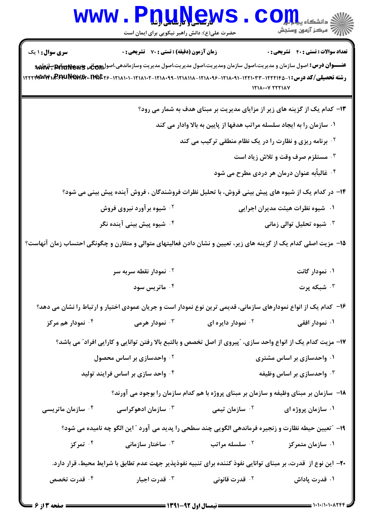## WWW.PnuNews.com .<br>|||/<sup>||ك</sup>سكز آزمون وسنجش حضرت علی(ع): دانش راهبر نیکویی برای ایمان است **تعداد سوالات : تستي : 40 - تشريحي : 0** سری سوال: ۱ یک **زمان آزمون (دقیقه) : تستی : 70 گشریحی: 0** عنـــوان درس: اصول سازمان و مديريت،اصول سازمان ومديريت،اصول مديريت،اصول مديريت وسازماندهي،اصول وومبلغي ولهيج<del>ة 10% و لهاهم</del> رشته تحصیلی/کد درس: ۱-۲۲۱۲۱۴۵-۱۲۲۲۰۳۳-۱۲۱۸۰۹۱-۱۲۱۸۰۹۶-۱۲۱۸۱۱۸-۱۲۱۸۱۰۲-۱۲۱۸۱۱۰۲-۱۲۲۲۳۸۳۷۴۰۰REAUNGWAX- $1111...V$   $YYY1AV$ ۱۳- کدام یک از گزینه های زیر از مزایای مدیریت بر مبنای هدف به شمار می رود؟ ۰۱ سازمان را به ایجاد سلسله مراتب هدفها از پایین به بالا وادار می کند <sup>7</sup>· برنامه ریزی و نظارت را در یک نظام منطقی ترکیب می کند **4. مستلزم صرف وقت و تلاش زیاد است** <sup>۴ .</sup> غالباًبه عنوان درمان هر دردی مطرح می شود ۱۴– در کدام یک از شیوه های پیش بینی فروش، با تحلیل نظرات فروشندگان ، فروش آینده پیش بینی می شود؟ ۰۱ شیوه نظرات هیئت مدیران اجرایی <u>۰</u>۲ شیوه بر آورد نیروی فروش ۰<sup>۴</sup> شیوه پیش بینی آینده نگر ۰<sup>۳</sup> شیوه تحلیل توالی زمانی ۱۵− مزیت اصلی کدام یک از گزینه های زیر، تعیین و نشان دادن فعالیتهای متوالی و متقارن و چگونگی احتساب زمان آنهاست؟ ۰۱ نمودار گانت نمودار نقطه سریه سر  $\cdot$ ۲ نمودار نقطه ا ۰۴ ماتریس سود شىكە يوت  $\cdot$ ۱۶– کدام یک از انواع نمودارهای سازمانی، قدیمی ترین نوع نمودار است و جریان عمودی اختیار و ارتباط را نشان می دهد؟ ۰<sup>۳</sup> نمودار هرمی ۰<sup>۴</sup> نمودار هم مرکز نمودار دايره اي  $\cdot$ ۲ ۰۱ نمودار افقی ١٧- مزيت كدام يك از انواع واحد سازي، ″پيروي از اصل تخصص و بالتبع بالا رفتن توانايي و كارايي افراد″ مي باشد؟ ۰۲ واحدسازی بر اساس محصول ۰۱ واحدسازی بر اساس مشتری ۰۴ واحد سازی بر اساس فرایند تولید ۰<sup>۳</sup> واحدسازی بر اساس وظیفه ۱۸– سازمان بر مبنای وظیفه و سازمان بر مبنای پروژه با هم کدام سازمان را بوجود می آورند؟ ۰<sup>۲</sup> سازمان تیمی ۰<sup>۴</sup> سازمان ماتریسی ۰<sup>۳</sup> سازمان ادهوکراسی ۰۱ سازمان پروژه ای ١٩- "تعيين حيطه نظارت و زنجيره فرماندهي الگويي چند سطحي را يديد مي آورد " اين الگو چه ناميده مي شود؟ ۰۴ تمرکز ۰<sup>۲</sup> سلسله مراتب ۰۳ ساختار سازمان*ی* ۰۱ سازمان متمرکز ۲۰– این نوع از قدرت، بر مبنای توانایی نفوذ کننده برای تنبیه نفوذیذیر جهت عدم تطابق با شرایط محیط، قرار دارد. ۰<sup>۴</sup> قدرت تخصص ۰<sup>۳</sup> قدرت اجبار <sup>۲.</sup> قدرت قانونی ۰۱ قدرت یاداش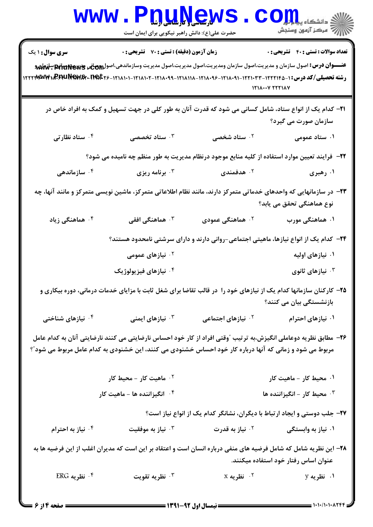|                               | <b>WWW.PDUNGWS</b><br>حضرت علی(ع): دانش راهبر نیکویی برای ایمان است                                      |                               | أزاز آن مرکز آزمون وسنجش                                                                                                                                                                                                                                                       |
|-------------------------------|----------------------------------------------------------------------------------------------------------|-------------------------------|--------------------------------------------------------------------------------------------------------------------------------------------------------------------------------------------------------------------------------------------------------------------------------|
| <b>سری سوال : ۱ یک</b>        | <b>زمان آزمون (دقیقه) : تستی : 70 قشریحی : 0</b>                                                         |                               | <b>تعداد سوالات : تستي : 40 - تشريحي : 0</b>                                                                                                                                                                                                                                   |
|                               |                                                                                                          |                               | <b>عنـــوان درس:</b> اصول سازمان و مديريت،اصول سازمان ومديريت،اصول مديريت،اصول مديريت وسازماندهي،اصولRitu <b>re وللهوباني Piluñew</b> g بالهلهم<br>رشته تحصیلی/کد درس: ۱-۲۲۲۱۴۵-۱۲۲۲۰۳۳-۱۲۱۸۰۹۱-۱۲۱۸۰۹۶-۱۲۱۸۱۱۸-۱۲۱۸۱۰۹۹-۱۲۲۲۳۸۰۳۴۱۰۳۶۶۹۰۰۳۶۶۹۰۰۳۶۶۰۰۲۱۲۲۲<br>$1111$ $Y 11111$ |
|                               |                                                                                                          |                               | <b>۲۱</b> – کدام یک از انواع ستاد، شامل کسانی می شود که قدرت آنان به طور کلی در جهت تسهیل و کمک به افراد خاص در<br>سازمان صورت می گیرد؟                                                                                                                                        |
| ۰۴ ستاد نظارتی                | ۰۳ ستاد ت <i>خصصی</i>                                                                                    | ۰۲ ستاد شخصی                  | ۱. ستاد عمومی                                                                                                                                                                                                                                                                  |
|                               |                                                                                                          |                               | ۲۲– فرایند تعیین موارد استفاده از کلیه منابع موجود درنظام مدیریت به طور منظم چه نامیده می شود؟                                                                                                                                                                                 |
| سازماندهی $\cdot$ ۴           | برنامه ريزي $\cdot^{\mathsf{v}}$                                                                         | هدفمندی $\cdot$ ۲             | ۰۱ رهبری                                                                                                                                                                                                                                                                       |
|                               |                                                                                                          |                               | ۲۳– در سازمانهایی که واحدهای خدماتی متمرکز دارند، مانند نظام اطلاعاتی متمرکز، ماشین نویسی متمرکز و مانند آنها، چه<br>نوع هماهنگی تحقق می یابد؟                                                                                                                                 |
| ۰ <sup>۴</sup> هماهنگی زیاد   | هماهنگی افقی $\cdot$                                                                                     | ۰ <sup>۲</sup> هماهنگی عمودی  | ۰۱ هماهنگی مورب                                                                                                                                                                                                                                                                |
|                               |                                                                                                          |                               | ۲۴– کدام یک از انواع نیازها، ماهیتی اجتماعی-روانی دارند و دارای سرشتی نامحدود هستند؟                                                                                                                                                                                           |
|                               | <sup>۲ .</sup> نیازهای عمومی                                                                             |                               | ۰۱ نیازهای اولیه                                                                                                                                                                                                                                                               |
|                               | ۰ <sup>۴</sup> نیازهای فیزیولوژیک                                                                        |                               | نيازهای ثانوی $\cdot^{\mathsf{v}}$                                                                                                                                                                                                                                             |
|                               |                                                                                                          |                               | ۲۵- کارکنان سازمانها کدام یک از نیازهای خود را در قالب تقاضا برای شغل ثابت با مزایای خدمات درمانی، دوره بیکاری و<br>بازنشستگی بیان می کنند؟                                                                                                                                    |
| ۰ <sup>۴</sup> نیازهای شناختی | ۰ <sup>۳</sup> نیازهای ایمنی                                                                             | <sup>۲.</sup> نیازهای اجتماعی | ۰۱ نیازهای احترام                                                                                                                                                                                                                                                              |
|                               | مربوط می شود و زمانی که آنها درباره کار خود احساس خشنودی می کنند، این خشنودی به کدام عامل مربوط می شود"؟ |                               | ۲۶– مطابق نظریه دوعاملی انگیزش،به ترتیب ″وقتی افراد از کار خود احساس نارضایتی می کنند نارضایتی آنان به کدام عامل                                                                                                                                                               |
|                               | ۰ <sup>۲</sup> ماهیت کار - محیط کار                                                                      |                               | ۰۱ محیط کار - ماهیت کار                                                                                                                                                                                                                                                        |
|                               | ۰۴ انگیزاننده ها - ماهیت کار                                                                             |                               | ۰ <sup>۳</sup> محیط کار - انگیزاننده ها                                                                                                                                                                                                                                        |
|                               |                                                                                                          |                               | ۲۷- جلب دوستی و ایجاد ارتباط با دیگران، نشانگر کدام یک از انواع نیاز است؟                                                                                                                                                                                                      |
| ۰۴ نیاز به احترام             | نياز به موفقيت $\cdot$                                                                                   | ۰ <sup>۲</sup> نیاز به قدرت   | ۰۱ نیاز به وابستگی                                                                                                                                                                                                                                                             |
|                               |                                                                                                          |                               | ۲۸– این نظریه شامل که شامل فرضیه های منفی درباره انسان است و اعتقاد بر این است که مدیران اغلب از این فرضیه ها به<br>عنوان اساس رفتار خود استفاده میکنند.                                                                                                                       |
| $ERG$ نظریه $\cdot$ ۴         | نظريه تقويت $\cdot$                                                                                      | $X$ نظریه $Y$<br>$\cdots$     | ۰۱ نظریه y                                                                                                                                                                                                                                                                     |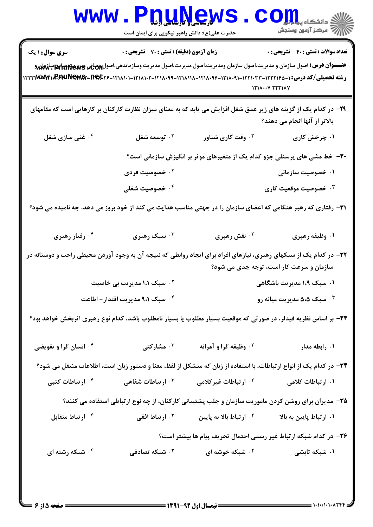|                                                                                                                                | www.P <u>nuŅe</u> ws<br>حضرت علی(ع): دانش راهبر نیکویی برای ایمان است |                                                                                                                    |                                                                                                             |
|--------------------------------------------------------------------------------------------------------------------------------|-----------------------------------------------------------------------|--------------------------------------------------------------------------------------------------------------------|-------------------------------------------------------------------------------------------------------------|
| <b>سری سوال : ۱ یک</b><br>رشته تحصیلی/کد درس: ۱-۲۲۲۱۴۵-۱۲۲۲۰۳۳-۱۲۱۸۰۹۱-۱۲۱۸۰۹۶-۱۲۱۸۱۱۸-۱۲۱۸۰۹۹-۱۲۲۲۸۰۹۶-۱۲۲۲۳۸۰۷۳۰۰۳۶۶۲۷۳۰۰۳۶۲ | زمان آزمون (دقیقه) : تستی : 70 قشریحی : 0                             |                                                                                                                    | <b>تعداد سوالات : تستی : 40 - تشریحی : .</b><br>$171$ $\lambda$ $\cdots$ $\gamma$ $7771$ $\lambda$ $\gamma$ |
|                                                                                                                                |                                                                       | ۲۹- در کدام یک از گزینه های زیر عمق شغل افزایش می یابد که به معنای میزان نظارت کارکنان بر کارهایی است که مقامهای   | بالاتر از آنها انجام می دهند؟                                                                               |
| ۰۴ غنی سازی شغل                                                                                                                | توسعه شغل $\cdot^{\mathsf{y}}$                                        | ۰۲ وقت کاری شناور                                                                                                  | ۰۱ چرخش کاری                                                                                                |
|                                                                                                                                |                                                                       | ۳۰- خط مشی های پرسنلی جزو کدام یک از متغیرهای موثر بر انگیزش سازمانی است؟                                          |                                                                                                             |
|                                                                                                                                | ۰۲ خصوصیت فردی                                                        |                                                                                                                    | ۰۱ خصوصیت سازمانی                                                                                           |
|                                                                                                                                | ۰۴ خصوصیت شغلی                                                        |                                                                                                                    | <b>۳ خصوصیت موقعیت کاری</b>                                                                                 |
| ۳۱– رفتاری که رهبر هنگامی که اعضای سازمان را در جهتی مناسب هدایت می کند از خود بروز می دهد، چه نامیده می شود؟                  |                                                                       |                                                                                                                    |                                                                                                             |
| ۰۴ رفتار رهبری                                                                                                                 | ۰۳ سبک رهبری                                                          | ۰ <sup>۲</sup> نقش رهبری                                                                                           | ۰۱ وظیفه رهبری                                                                                              |
| ۳۲– در کدام یک از سبکهای رهبری، نیازهای افراد برای ایجاد روابطی که نتیجه آن به وجود آوردن محیطی راحت و دوستانه در              |                                                                       |                                                                                                                    | سازمان و سرعت کار است، توجه جدی می شود؟                                                                     |
|                                                                                                                                | <sup>۲.</sup> سبک ۱،۱ مدیریت بی خاصیت                                 |                                                                                                                    | ۰۱ سبک ۱،۹ مدیریت باشگاهی                                                                                   |
|                                                                                                                                | ۰۴ سبک ۹،۱ مدیریت اقتدار – اطاعت                                      |                                                                                                                    | سبک ۵،۵ مدیریت میانه رو $\cdot$                                                                             |
| ۳۳- بر اساس نظریه فیدلر، در صورتی که موقعیت بسیار مطلوب یا بسیار نامطلوب باشد، کدام نوع رهبری اثربخش خواهد بود؟                |                                                                       |                                                                                                                    |                                                                                                             |
| <b>۴ وانسان گرا و تفویضی</b>                                                                                                   | شارکتی $\cdot$ "                                                      | <sup>٢</sup> . وظيفه گراو آمرانه                                                                                   | ۰۱ رابطه مدار                                                                                               |
|                                                                                                                                |                                                                       | ۳۴– در کدام یک از انواع ارتباطات، با استفاده از زبان که متشکل از لفظ، معنا و دستور زبان است، اطلاعات منتقل می شود؟ |                                                                                                             |
| ۰ <sup>۴</sup> ارتباطات کتبی                                                                                                   | ۰۳ ارتباطات شفاهی                                                     | ۰ <sup>۲</sup> ارتباطات غیر کلامی                                                                                  | ۰۱ ارتباطات کلامی                                                                                           |
|                                                                                                                                |                                                                       | ۳۵- مدیران برای روشن کردن ماموریت سازمان و جلب پشتیبانی کارکنان، از چه نوع ارتباطی استفاده می کنند؟                |                                                                                                             |
| ۰ <sup>۴</sup> ارتباط متقابل                                                                                                   | ۰ <sup>۳</sup> ارتباط افقی                                            | ۰ <sup>۲</sup> ارتباط بالا به پایین                                                                                | ۰۱ ارتباط پایین به بالا                                                                                     |
|                                                                                                                                |                                                                       | ۳۶- در کدام شبکه ارتباط غیر رسمی احتمال تحریف پیام ها بیشتر است؟                                                   |                                                                                                             |
| ۰۴ شبکه رشته ای                                                                                                                | ۰۳ شبکه تصادفی                                                        | <b>7. شبکه خوشه ای</b>                                                                                             | ۰۱ شبکه تابشی                                                                                               |
|                                                                                                                                |                                                                       |                                                                                                                    |                                                                                                             |